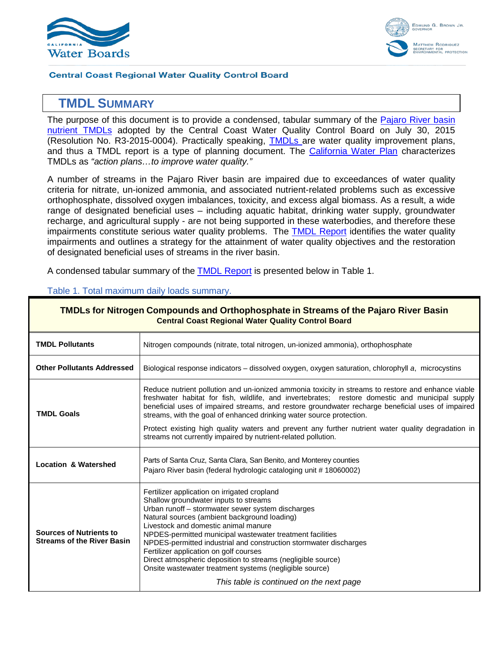



#### **Central Coast Regional Water Quality Control Board**

# **1 TMDL SUMMARY**

The purpose of this document is to provide a condensed, tabular summary of the Pajaro River basin [nutrient TMDLs](http://www.waterboards.ca.gov/centralcoast/water_issues/programs/tmdl/docs/pajaro/nutrients/index.shtml) adopted by the Central Coast Water Quality Control Board on July 30, 2015 (Resolution No. R3-2015-0004). Practically speaking, [TMDLs a](http://www.waterboards.ca.gov/water_issues/programs/tmdl/docs/tmdl_factsheet.pdf)re water quality improvement plans, and thus a TMDL report is a type of planning document. The [California Water Plan](http://www.waterplan.water.ca.gov/docs/cwpu2013/Final/Vol2_CentralCoastRR.pdf) characterizes TMDLs as *"action plans…to improve water quality."* 

A number of streams in the Pajaro River basin are impaired due to exceedances of water quality criteria for nitrate, un-ionized ammonia, and associated nutrient-related problems such as excessive orthophosphate, dissolved oxygen imbalances, toxicity, and excess algal biomass. As a result, a wide range of designated beneficial uses – including aquatic habitat, drinking water supply, groundwater recharge, and agricultural supply - are not being supported in these waterbodies, and therefore these impairments constitute serious water quality problems. The [TMDL Report](http://www.waterboards.ca.gov/centralcoast/water_issues/programs/tmdl/docs/pajaro/nutrients/tmdl_report_approved.pdf) identifies the water quality impairments and outlines a strategy for the attainment of water quality objectives and the restoration of designated beneficial uses of streams in the river basin.

A condensed tabular summary of the [TMDL Report](http://www.waterboards.ca.gov/centralcoast/water_issues/programs/tmdl/docs/pajaro/nutrients/tmdl_report_approved.pdf) is presented below in [Table 1.](#page-0-0)

| <b>TMDLs for Nitrogen Compounds and Orthophosphate in Streams of the Pajaro River Basin</b><br><b>Central Coast Regional Water Quality Control Board</b>                                                                                                                                                                                                                                                                                                                                                                                                                              |  |  |
|---------------------------------------------------------------------------------------------------------------------------------------------------------------------------------------------------------------------------------------------------------------------------------------------------------------------------------------------------------------------------------------------------------------------------------------------------------------------------------------------------------------------------------------------------------------------------------------|--|--|
| Nitrogen compounds (nitrate, total nitrogen, un-ionized ammonia), orthophosphate                                                                                                                                                                                                                                                                                                                                                                                                                                                                                                      |  |  |
| Biological response indicators – dissolved oxygen, oxygen saturation, chlorophyll a, microcystins                                                                                                                                                                                                                                                                                                                                                                                                                                                                                     |  |  |
| Reduce nutrient pollution and un-ionized ammonia toxicity in streams to restore and enhance viable<br>freshwater habitat for fish, wildlife, and invertebrates; restore domestic and municipal supply<br>beneficial uses of impaired streams, and restore groundwater recharge beneficial uses of impaired<br>streams, with the goal of enhanced drinking water source protection.                                                                                                                                                                                                    |  |  |
| Protect existing high quality waters and prevent any further nutrient water quality degradation in<br>streams not currently impaired by nutrient-related pollution.                                                                                                                                                                                                                                                                                                                                                                                                                   |  |  |
| Parts of Santa Cruz, Santa Clara, San Benito, and Monterey counties<br>Pajaro River basin (federal hydrologic cataloging unit #18060002)                                                                                                                                                                                                                                                                                                                                                                                                                                              |  |  |
| Fertilizer application on irrigated cropland<br>Shallow groundwater inputs to streams<br>Urban runoff - stormwater sewer system discharges<br>Natural sources (ambient background loading)<br>Livestock and domestic animal manure<br>NPDES-permitted municipal wastewater treatment facilities<br>NPDES-permitted industrial and construction stormwater discharges<br>Fertilizer application on golf courses<br>Direct atmospheric deposition to streams (negligible source)<br>Onsite wastewater treatment systems (negligible source)<br>This table is continued on the next page |  |  |
|                                                                                                                                                                                                                                                                                                                                                                                                                                                                                                                                                                                       |  |  |

#### <span id="page-0-0"></span>Table 1. Total maximum daily loads summary.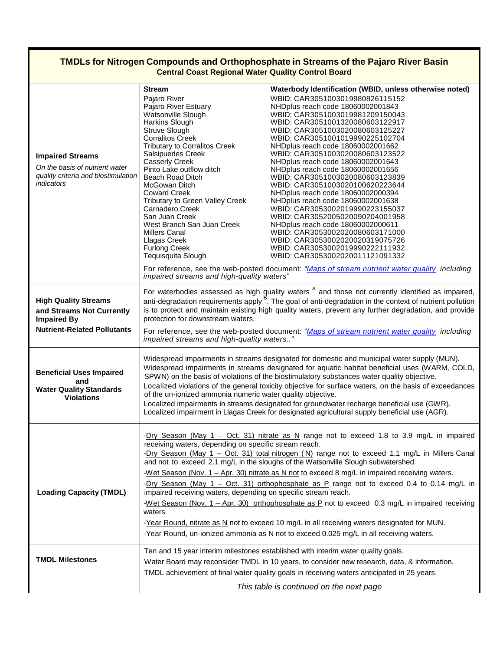## **TMDLs for Nitrogen Compounds and Orthophosphate in Streams of the Pajaro River Basin Central Coast Regional Water Quality Control Board**

| <b>Impaired Streams</b><br>On the basis of nutrient water<br>quality criteria and biostimulation<br>indicators       | <b>Stream</b><br>Pajaro River<br>Pajaro River Estuary<br>Watsonville Slough<br>Harkins Slough<br>Struve Slough<br><b>Corralitos Creek</b><br><b>Tributary to Corralitos Creek</b><br>Salsipuedes Creek<br><b>Casserly Creek</b><br>Pinto Lake outflow ditch<br>Beach Road Ditch<br>McGowan Ditch<br><b>Coward Creek</b><br>Tributary to Green Valley Creek<br>Carnadero Creek<br>San Juan Creek<br>West Branch San Juan Creek<br><b>Millers Canal</b><br>Llagas Creek<br><b>Furlong Creek</b><br>Tequisquita Slough<br>impaired streams and high-quality waters"                                                                                                                                                                                                                                                                                                                                                         | Waterbody Identification (WBID, unless otherwise noted)<br>WBID: CAR3051003019980826115152<br>NHDplus reach code 18060002001843<br>WBID: CAR3051003019981209150043<br>WBID: CAR3051001320080603122917<br>WBID: CAR3051003020080603125227<br>WBID: CAR3051001019990225102704<br>NHDplus reach code 18060002001662<br>WBID: CAR3051003020080603123522<br>NHDplus reach code 18060002001643<br>NHDplus reach code 18060002001656<br>WBID: CAR3051003020080603123839<br>WBID: CAR3051003020100620223644<br>NHDplus reach code 18060002000394<br>NHDplus reach code 18060002001638<br>WBID: CAR3053002019990223155037<br>WBID: CAR3052005020090204001958<br>NHDplus reach code 18060002000611<br>WBID: CAR3053002020080603171000<br>WBID: CAR3053002020020319075726<br>WBID: CAR3053002019990222111932<br>WBID: CAR3053002020011121091332<br>For reference, see the web-posted document: "Maps of stream nutrient water quality including |  |
|----------------------------------------------------------------------------------------------------------------------|--------------------------------------------------------------------------------------------------------------------------------------------------------------------------------------------------------------------------------------------------------------------------------------------------------------------------------------------------------------------------------------------------------------------------------------------------------------------------------------------------------------------------------------------------------------------------------------------------------------------------------------------------------------------------------------------------------------------------------------------------------------------------------------------------------------------------------------------------------------------------------------------------------------------------|--------------------------------------------------------------------------------------------------------------------------------------------------------------------------------------------------------------------------------------------------------------------------------------------------------------------------------------------------------------------------------------------------------------------------------------------------------------------------------------------------------------------------------------------------------------------------------------------------------------------------------------------------------------------------------------------------------------------------------------------------------------------------------------------------------------------------------------------------------------------------------------------------------------------------------------|--|
| <b>High Quality Streams</b><br>and Streams Not Currently<br><b>Impaired By</b><br><b>Nutrient-Related Pollutants</b> | For waterbodies assessed as high quality waters $A$ and those not currently identified as impaired, anti-degradation requirements apply $B$ . The goal of anti-degradation in the context of nutrient pollution<br>is to protect and maintain existing high quality waters, prevent any further degradation, and provide<br>protection for downstream waters.<br>For reference, see the web-posted document: "Maps of stream nutrient water quality including<br>impaired streams and high-quality waters"                                                                                                                                                                                                                                                                                                                                                                                                               |                                                                                                                                                                                                                                                                                                                                                                                                                                                                                                                                                                                                                                                                                                                                                                                                                                                                                                                                      |  |
| <b>Beneficial Uses Impaired</b><br>and<br><b>Water Quality Standards</b><br><b>Violations</b>                        | Widespread impairments in streams designated for domestic and municipal water supply (MUN).<br>Widespread impairments in streams designated for aquatic habitat beneficial uses (WARM, COLD,<br>SPWN) on the basis of violations of the biostimulatory substances water quality objective.<br>Localized violations of the general toxicity objective for surface waters, on the basis of exceedances<br>of the un-ionized ammonia numeric water quality objective.<br>Localized impairments in streams designated for groundwater recharge beneficial use (GWR).<br>Localized impairment in Llagas Creek for designated agricultural supply beneficial use (AGR).                                                                                                                                                                                                                                                        |                                                                                                                                                                                                                                                                                                                                                                                                                                                                                                                                                                                                                                                                                                                                                                                                                                                                                                                                      |  |
| <b>Loading Capacity (TMDL)</b>                                                                                       | -Dry Season (May $1 - Oct. 31$ ) nitrate as N range not to exceed 1.8 to 3.9 mg/L in impaired<br>receiving waters, depending on specific stream reach.<br>-Dry Season (May 1 - Oct. 31) total nitrogen (N) range not to exceed 1.1 mg/L in Millers Canal<br>and not to exceed 2.1 mg/L in the sloughs of the Watsonville Slough subwatershed.<br>-Wet Season (Nov. $1 -$ Apr. 30) nitrate as N not to exceed 8 mg/L in impaired receiving waters.<br>-Dry Season (May 1 - Oct. 31) orthophosphate as P range not to exceed 0.4 to 0.14 mg/L in<br>impaired receiving waters, depending on specific stream reach.<br>-Wet Season (Nov. $1 -$ Apr. 30) orthophosphate as P not to exceed 0.3 mg/L in impaired receiving<br>waters<br>-Year Round, nitrate as N not to exceed 10 mg/L in all receiving waters designated for MUN.<br>-Year Round, un-ionized ammonia as N not to exceed 0.025 mg/L in all receiving waters. |                                                                                                                                                                                                                                                                                                                                                                                                                                                                                                                                                                                                                                                                                                                                                                                                                                                                                                                                      |  |
| <b>TMDL Milestones</b>                                                                                               | Ten and 15 year interim milestones established with interim water quality goals.<br>Water Board may reconsider TMDL in 10 years, to consider new research, data, & information.<br>TMDL achievement of final water quality goals in receiving waters anticipated in 25 years.                                                                                                                                                                                                                                                                                                                                                                                                                                                                                                                                                                                                                                            |                                                                                                                                                                                                                                                                                                                                                                                                                                                                                                                                                                                                                                                                                                                                                                                                                                                                                                                                      |  |
|                                                                                                                      |                                                                                                                                                                                                                                                                                                                                                                                                                                                                                                                                                                                                                                                                                                                                                                                                                                                                                                                          | This table is continued on the next page                                                                                                                                                                                                                                                                                                                                                                                                                                                                                                                                                                                                                                                                                                                                                                                                                                                                                             |  |